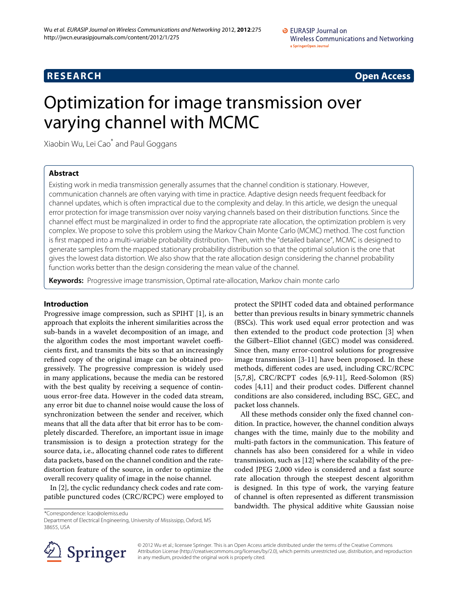# **RESEARCH Open Access**

# Optimization for image transmission over varying channel with MCMC

Xiaobin Wu, Lei Cao\* and Paul Goggans

# **Abstract**

Existing work in media transmission generally assumes that the channel condition is stationary. However, communication channels are often varying with time in practice. Adaptive design needs frequent feedback for channel updates, which is often impractical due to the complexity and delay. In this article, we design the unequal error protection for image transmission over noisy varying channels based on their distribution functions. Since the channel effect must be marginalized in order to find the appropriate rate allocation, the optimization problem is very complex. We propose to solve this problem using the Markov Chain Monte Carlo (MCMC) method. The cost function is first mapped into a multi-variable probability distribution. Then, with the "detailed balance", MCMC is designed to generate samples from the mapped stationary probability distribution so that the optimal solution is the one that gives the lowest data distortion. We also show that the rate allocation design considering the channel probability function works better than the design considering the mean value of the channel.

**Keywords:** Progressive image transmission, Optimal rate-allocation, Markov chain monte carlo

# **Introduction**

Progressive image compression, such as SPIHT [\[1\]](#page-8-0), is an approach that exploits the inherent similarities across the sub-bands in a wavelet decomposition of an image, and the algorithm codes the most important wavelet coefficients first, and transmits the bits so that an increasingly refined copy of the original image can be obtained progressively. The progressive compression is widely used in many applications, because the media can be restored with the best quality by receiving a sequence of continuous error-free data. However in the coded data stream, any error bit due to channel noise would cause the loss of synchronization between the sender and receiver, which means that all the data after that bit error has to be completely discarded. Therefore, an important issue in image transmission is to design a protection strategy for the source data, i.e., allocating channel code rates to different data packets, based on the channel condition and the ratedistortion feature of the source, in order to optimize the overall recovery quality of image in the noise channel.

In [\[2\]](#page-8-1), the cyclic redundancy check codes and rate compatible punctured codes (CRC/RCPC) were employed to

protect the SPIHT coded data and obtained performance better than previous results in binary symmetric channels (BSCs). This work used equal error protection and was then extended to the product code protection [\[3\]](#page-8-2) when the Gilbert–Elliot channel (GEC) model was considered. Since then, many error-control solutions for progressive image transmission [\[3](#page-8-2)[-11\]](#page-8-3) have been proposed. In these methods, different codes are used, including CRC/RCPC [\[5,](#page-8-4)[7,](#page-8-5)[8\]](#page-8-6), CRC/RCPT codes [\[6](#page-8-7)[,9](#page-8-8)[-11\]](#page-8-3), Reed-Solomon (RS) codes [\[4,](#page-8-9)[11\]](#page-8-3) and their product codes. Different channel conditions are also considered, including BSC, GEC, and packet loss channels.

All these methods consider only the fixed channel condition. In practice, however, the channel condition always changes with the time, mainly due to the mobility and multi-path factors in the communication. This feature of channels has also been considered for a while in video transmission, such as [\[12\]](#page-8-10) where the scalability of the precoded JPEG 2,000 video is considered and a fast source rate allocation through the steepest descent algorithm is designed. In this type of work, the varying feature of channel is often represented as different transmission bandwidth. The physical additive white Gaussian noise

\*Correspondence: lcao@olemiss.edu

Department of Electrical Engineering, University of Mississipp, Oxford, MS 38655, USA



© 2012 Wu et al.; licensee Springer. This is an Open Access article distributed under the terms of the Creative Commons Attribution License (http://creativecommons.org/licenses/by/2.0), which permits unrestricted use, distribution, and reproduction in any medium, provided the original work is properly cited.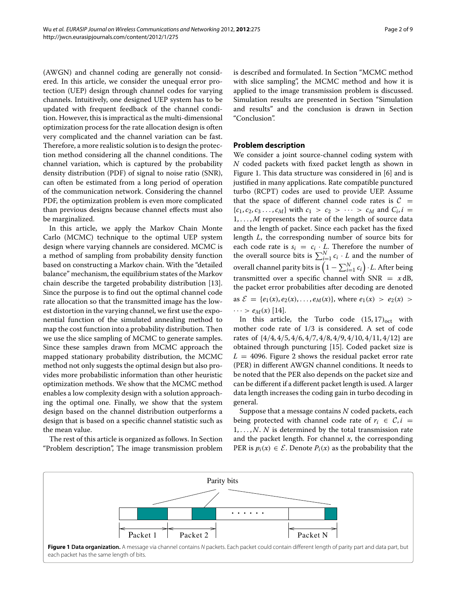(AWGN) and channel coding are generally not considered. In this article, we consider the unequal error protection (UEP) design through channel codes for varying channels. Intuitively, one designed UEP system has to be updated with frequent feedback of the channel condition. However, this is impractical as the multi-dimensional optimization process for the rate allocation design is often very complicated and the channel variation can be fast. Therefore, a more realistic solution is to design the protection method considering all the channel conditions. The channel variation, which is captured by the probability density distribution (PDF) of signal to noise ratio (SNR), can often be estimated from a long period of operation of the communication network. Considering the channel PDF, the optimization problem is even more complicated than previous designs because channel effects must also be marginalized.

In this article, we apply the Markov Chain Monte Carlo (MCMC) technique to the optimal UEP system design where varying channels are considered. MCMC is a method of sampling from probability density function based on constructing a Markov chain. With the "detailed balance" mechanism, the equilibrium states of the Markov chain describe the targeted probability distribution [\[13\]](#page-8-11). Since the purpose is to find out the optimal channel code rate allocation so that the transmitted image has the lowest distortion in the varying channel, we first use the exponential function of the simulated annealing method to map the cost function into a probability distribution. Then we use the slice sampling of MCMC to generate samples. Since these samples drawn from MCMC approach the mapped stationary probability distribution, the MCMC method not only suggests the optimal design but also provides more probabilistic information than other heuristic optimization methods. We show that the MCMC method enables a low complexity design with a solution approaching the optimal one. Finally, we show that the system design based on the channel distribution outperforms a design that is based on a specific channel statistic such as the mean value.

The rest of this article is organized as follows. In Section ["Problem description"](#page-1-0), The image transmission problem is described and formulated. In Section "MCMC method with slice sampling", the MCMC method and how it is applied to the image transmission problem is discussed. Simulation results are presented in Section "Simulation and results" and the conclusion is drawn in Section ["Conclusion"](#page-8-12).

# <span id="page-1-0"></span>**Problem description**

We consider a joint source-channel coding system with *N* coded packets with fixed packet length as shown in Figure [1.](#page-1-1) This data structure was considered in [\[6\]](#page-8-7) and is justified in many applications. Rate compatible punctured turbo (RCPT) codes are used to provide UEP. Assume that the space of different channel code rates is  $C =$  ${c_1, c_2, c_3, \ldots, c_M}$  with  $c_1 > c_2 > \cdots > c_M$  and  $C_i, i =$ 1, *...* , *M* represents the rate of the length of source data and the length of packet. Since each packet has the fixed length *L*, the corresponding number of source bits for each code rate is  $s_i = c_i \cdot L$ . Therefore the number of the overall source bits is  $\sum_{i=1}^{N} c_i \cdot L$  and the number of overall channel parity bits is  $\left(1 - \sum_{i=1}^N c_i\right) \cdot L$ . After being transmitted over a specific channel with  $SNR = x dB$ , the packet error probabilities after decoding are denoted as  $\mathcal{E} = \{e_1(x), e_2(x), \ldots, e_M(x)\}$ , where  $e_1(x) > e_2(x)$  $\cdots > e_M(x)$  [\[14\]](#page-8-13).

In this article, the Turbo code  $(15, 17)_{\text{oct}}$  with mother code rate of 1/3 is considered. A set of code rates of {4*/*4, 4*/*5, 4*/*6, 4*/*7, 4*/*8, 4*/*9, 4*/*10, 4*/*11, 4*/*12} are obtained through puncturing [\[15\]](#page-8-14). Coded packet size is  $L = 4096$ . Figure [2](#page-2-0) shows the residual packet error rate (PER) in different AWGN channel conditions. It needs to be noted that the PER also depends on the packet size and can be different if a different packet length is used. A larger data length increases the coding gain in turbo decoding in general.

Suppose that a message contains *N* coded packets, each being protected with channel code rate of  $r_i \in C, i =$ 1, *...* , *N*. *N* is determined by the total transmission rate and the packet length. For channel  $x$ , the corresponding PER is  $p_i(x) \in \mathcal{E}$ . Denote  $P_i(x)$  as the probability that the

<span id="page-1-1"></span>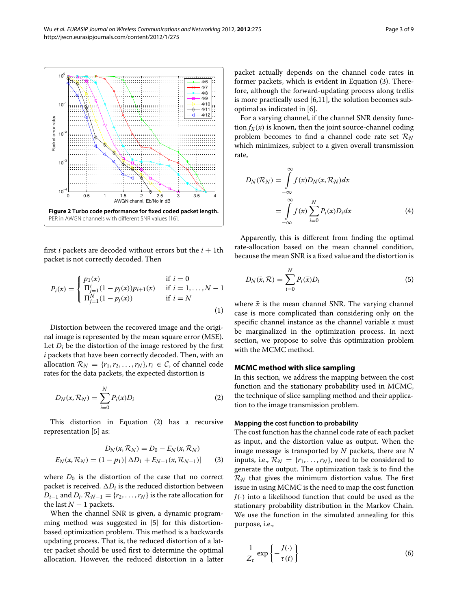

<span id="page-2-0"></span>first *i* packets are decoded without errors but the  $i + 1$ th packet is not correctly decoded. Then

$$
P_i(x) = \begin{cases} p_1(x) & \text{if } i = 0\\ \Pi_{j=1}^i (1 - p_j(x))p_{i+1}(x) & \text{if } i = 1, ..., N - 1\\ \Pi_{j=1}^N (1 - p_j(x)) & \text{if } i = N \end{cases}
$$
(1)

Distortion between the recovered image and the original image is represented by the mean square error (MSE). Let  $D_i$  be the distortion of the image restored by the first *i* packets that have been correctly decoded. Then, with an allocation  $\mathcal{R}_N = \{r_1, r_2, \ldots, r_N\}, r_i \in \mathcal{C}$ , of channel code rates for the data packets, the expected distortion is

$$
D_N(x, \mathcal{R}_N) = \sum_{i=0}^N P_i(x) D_i
$$
\n(2)

This distortion in Equation [\(2\)](#page-2-1) has a recursive representation [\[5\]](#page-8-4) as:

$$
D_N(x, R_N) = D_0 - E_N(x, R_N)
$$
  

$$
E_N(x, R_N) = (1 - p_1) [\Delta D_1 + E_{N-1}(x, R_{N-1})]
$$
 (3)

where  $D_0$  is the distortion of the case that no correct packet is received.  $\Delta D_i$  is the reduced distortion between  $D_{i-1}$  and  $D_i$ .  $\mathcal{R}_{N-1} = \{r_2, \ldots, r_N\}$  is the rate allocation for the last  $N-1$  packets.

When the channel SNR is given, a dynamic programming method was suggested in [\[5\]](#page-8-4) for this distortionbased optimization problem. This method is a backwards updating process. That is, the reduced distortion of a latter packet should be used first to determine the optimal allocation. However, the reduced distortion in a latter

packet actually depends on the channel code rates in former packets, which is evident in Equation [\(3\)](#page-2-2). Therefore, although the forward-updating process along trellis is more practically used [\[6](#page-8-7)[,11\]](#page-8-3), the solution becomes suboptimal as indicated in [\[6\]](#page-8-7).

For a varying channel, if the channel SNR density function  $f_X(x)$  is known, then the joint source-channel coding problem becomes to find a channel code rate set R*<sup>N</sup>* which minimizes, subject to a given overall transmission rate,

$$
D_N(\mathcal{R}_N) = \int_{-\infty}^{\infty} f(x) D_N(x, \mathcal{R}_N) dx
$$
  
= 
$$
\int_{-\infty}^{\infty} f(x) \sum_{i=0}^{N} P_i(x) D_i dx
$$
 (4)

Apparently, this is different from finding the optimal rate-allocation based on the mean channel condition, because the mean SNR is a fixed value and the distortion is

$$
D_N(\bar{x}, \mathcal{R}) = \sum_{i=0}^{N} P_i(\bar{x}) D_i
$$
\n(5)

where  $\bar{x}$  is the mean channel SNR. The varying channel case is more complicated than considering only on the specific channel instance as the channel variable *x* must be marginalized in the optimization process. In next section, we propose to solve this optimization problem with the MCMC method.

## **MCMC method with slice sampling**

<span id="page-2-1"></span>In this section, we address the mapping between the cost function and the stationary probability used in MCMC, the technique of slice sampling method and their application to the image transmission problem.

#### **Mapping the cost function to probability**

<span id="page-2-2"></span>The cost function has the channel code rate of each packet as input, and the distortion value as output. When the image message is transported by *N* packets, there are *N* inputs, i.e.,  $\mathcal{R}_N = \{r_1, \ldots, r_N\}$ , need to be considered to generate the output. The optimization task is to find the  $\mathcal{R}_N$  that gives the minimum distortion value. The first issue in using MCMC is the need to map the cost function *J(*·*)* into a likelihood function that could be used as the stationary probability distribution in the Markov Chain. We use the function in the simulated annealing for this purpose, i.e.,

<span id="page-2-3"></span>
$$
\frac{1}{Z_{\tau}} \exp\left\{-\frac{J(\cdot)}{\tau(t)}\right\} \tag{6}
$$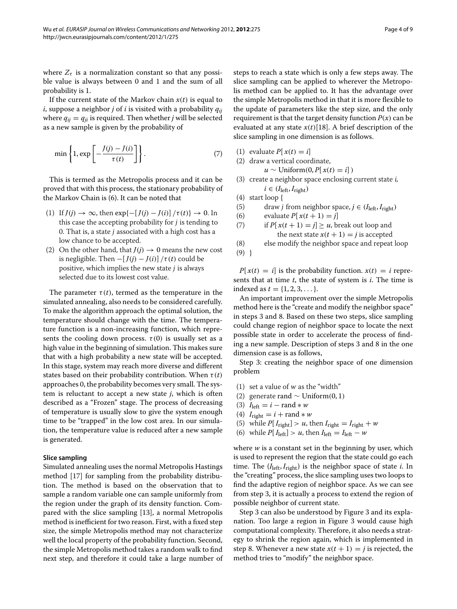If the current state of the Markov chain  $x(t)$  is equal to *i*, suppose a neighbor *j* of *i* is visited with a probability *qij* where  $q_{ij} = q_{ji}$  is required. Then whether *j* will be selected as a new sample is given by the probability of

$$
\min\left\{1,\exp\left[-\frac{J(j)-J(i)}{\tau(t)}\right]\right\}.
$$
\n(7)

This is termed as the Metropolis process and it can be proved that with this process, the stationary probability of the Markov Chain is [\(6\)](#page-2-3). It can be noted that

- (1) If  $J(j) \rightarrow \infty$ , then  $\exp\{-[J(j) J(i)] / \tau(t)\} \rightarrow 0$ . In this case the accepting probability for  $j$  is tending to 0. That is, a state  $j$  associated with a high cost has a low chance to be accepted.
- (2) On the other hand, that  $J(j) \rightarrow 0$  means the new cost is negligible. Then  $-[J(j) - J(i)] / \tau(t)$  could be positive, which implies the new state  $j$  is always selected due to its lowest cost value.

The parameter  $\tau(t)$ , termed as the temperature in the simulated annealing, also needs to be considered carefully. To make the algorithm approach the optimal solution, the temperature should change with the time. The temperature function is a non-increasing function, which represents the cooling down process.  $\tau(0)$  is usually set as a high value in the beginning of simulation. This makes sure that with a high probability a new state will be accepted. In this stage, system may reach more diverse and different states based on their probability contribution. When  $\tau(t)$ approaches 0, the probability becomes very small. The system is reluctant to accept a new state *j*, which is often described as a "Frozen" stage. The process of decreasing of temperature is usually slow to give the system enough time to be "trapped" in the low cost area. In our simulation, the temperature value is reduced after a new sample is generated.

#### **Slice sampling**

Simulated annealing uses the normal Metropolis Hastings method [\[17\]](#page-8-16) for sampling from the probability distribution. The method is based on the observation that to sample a random variable one can sample uniformly from the region under the graph of its density function. Compared with the slice sampling [\[13\]](#page-8-11), a normal Metropolis method is inefficient for two reason. First, with a fixed step size, the simple Metropolis method may not characterize well the local property of the probability function. Second, the simple Metropolis method takes a random walk to find next step, and therefore it could take a large number of steps to reach a state which is only a few steps away. The slice sampling can be applied to wherever the Metropolis method can be applied to. It has the advantage over the simple Metropolis method in that it is more flexible to the update of parameters like the step size, and the only requirement is that the target density function  $P(x)$  can be evaluated at any state  $x(t)$ [\[18\]](#page-8-17). A brief description of the slice sampling in one dimension is as follows.

- (1) evaluate  $P[x(t) = i]$
- (2) draw a vertical coordinate,
	- $u \sim$  Uniform(0, *P*[ $x(t) = i$ ]
- (3) create a neighbor space enclosing current state <sup>i</sup>,  $i \in (I_{\text{left}}, I_{\text{right}})$
- (4) start loop {<br>(5) draw  $\pi$
- (5) draw *j* from neighbor space, *j* ∈  $(I_{\text{left}}, I_{\text{right}})$ <br>(6) evaluate  $P[x(t + 1) = j]$
- (6) evaluate  $P[x(t + 1) = j]$ <br>
(7) if  $P[x(t + 1) = j] > u$ , b
- if  $P[x(t+1) = j] \geq u$ , break out loop and the next state  $x(t + 1) = j$  is accepted
- (8) else modify the neighbor space and repeat loop
- $(9)$ }

 $P[x(t) = i]$  is the probability function.  $x(t) = i$  represents that at time *t*, the state of system is *i*. The time is indexed as  $t = \{1, 2, 3, \dots\}.$ 

An important improvement over the simple Metropolis method here is the "create and modify the neighbor space" in steps 3 and 8. Based on these two steps, slice sampling could change region of neighbor space to locate the next possible state in order to accelerate the process of finding a new sample. Description of steps 3 and 8 in the one dimension case is as follows,

Step 3: creating the neighbor space of one dimension problem

- (1) set a value of  $w$  as the "width"
- (2) generate rand ∼ Uniform*(*0, 1*)*
- (3)  $I_{\text{left}} = i \text{rand} * w$
- (4)  $I_{\text{right}} = i + \text{rand} * w$
- (5) while  $P[I_{\text{right}}] > u$ , then  $I_{\text{right}} = I_{\text{right}} + w$
- (6) while  $P[I_{\text{left}}] > u$ , then  $I_{\text{left}} = I_{\text{left}} w$

where  $w$  is a constant set in the beginning by user, which is used to represent the region that the state could go each time. The (*I*left, *I*right) is the neighbor space of state *i*. In the "creating" process, the slice sampling uses two loops to find the adaptive region of neighbor space. As we can see from step 3, it is actually a process to extend the region of possible neighbor of current state.

Step 3 can also be understood by Figure [3](#page-4-0) and its explanation. Too large a region in Figure [3](#page-4-0) would cause high computational complexity. Therefore, it also needs a strategy to shrink the region again, which is implemented in step 8. Whenever a new state  $x(t + 1) = j$  is rejected, the method tries to "modify" the neighbor space.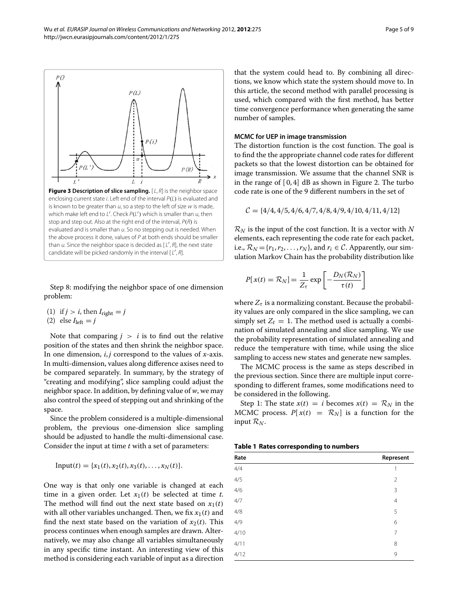

<span id="page-4-0"></span>Step 8: modifying the neighbor space of one dimension problem:

(1) if  $j > i$ , then  $I_{\text{right}} = j$ 

$$
(2) else Ileft = j
$$

Note that comparing  $j > i$  is to find out the relative position of the states and then shrink the neighbor space. In one dimension, *i*, *j* correspond to the values of *x*-axis. In multi-dimension, values along difference axises need to be compared separately. In summary, by the strategy of "creating and modifying", slice sampling could adjust the neighbor space. In addition, by defining value of *w*, we may also control the speed of stepping out and shrinking of the space.

Since the problem considered is a multiple-dimensional problem, the previous one-dimension slice sampling should be adjusted to handle the multi-dimensional case. Consider the input at time *t* with a set of parameters:

Input(t) = {
$$
x_1(t), x_2(t), x_3(t), ..., x_N(t)
$$
 }.

One way is that only one variable is changed at each time in a given order. Let  $x_1(t)$  be selected at time *t*. The method will find out the next state based on  $x_1(t)$ with all other variables unchanged. Then, we fix  $x_1(t)$  and find the next state based on the variation of  $x_2(t)$ . This process continues when enough samples are drawn. Alternatively, we may also change all variables simultaneously in any specific time instant. An interesting view of this method is considering each variable of input as a direction

that the system could head to. By combining all directions, we know which state the system should move to. In this article, the second method with parallel processing is used, which compared with the first method, has better time convergence performance when generating the same number of samples.

## **MCMC for UEP in image transmission**

The distortion function is the cost function. The goal is to find the the appropriate channel code rates for different packets so that the lowest distortion can be obtained for image transmission. We assume that the channel SNR is in the range of [ 0, 4] dB as shown in Figure [2.](#page-2-0) The turbo code rate is one of the 9 different numbers in the set of

$$
C = \{4/4, 4/5, 4/6, 4/7, 4/8, 4/9, 4/10, 4/11, 4/12\}
$$

R*<sup>N</sup>* is the input of the cost function. It is a vector with *N* elements, each representing the code rate for each packet, i.e.,  $\mathcal{R}_N = \{r_1, r_2, \ldots, r_N\}$ , and  $r_i \in \mathcal{C}$ . Apparently, our simulation Markov Chain has the probability distribution like

$$
P[x(t) = \mathcal{R}_N] = \frac{1}{Z_{\tau}} \exp\left[-\frac{D_N(\mathcal{R}_N)}{\tau(t)}\right]
$$

where  $Z_{\tau}$  is a normalizing constant. Because the probability values are only compared in the slice sampling, we can simply set  $Z_t = 1$ . The method used is actually a combination of simulated annealing and slice sampling. We use the probability representation of simulated annealing and reduce the temperature with time, while using the slice sampling to access new states and generate new samples.

The MCMC process is the same as steps described in the previous section. Since there are multiple input corresponding to different frames, some modifications need to be considered in the following.

Step 1: The state  $x(t) = i$  becomes  $x(t) = \mathcal{R}_N$  in the MCMC process.  $P[x(t) = R_N]$  is a function for the input  $\mathcal{R}_N$ .

<span id="page-4-1"></span>

|  |  |  | Table 1 Rates corresponding to numbers |  |  |  |  |  |
|--|--|--|----------------------------------------|--|--|--|--|--|
|--|--|--|----------------------------------------|--|--|--|--|--|

| Rate    | Represent      |
|---------|----------------|
| 4/4     | 1              |
| $4/5$   | $\overline{2}$ |
| 4/6     | 3              |
| 4/7     | $\overline{4}$ |
| $4/8\,$ | 5              |
| 4/9     | 6              |
| 4/10    | $\overline{7}$ |
| 4/11    | 8              |
| 4/12    | 9              |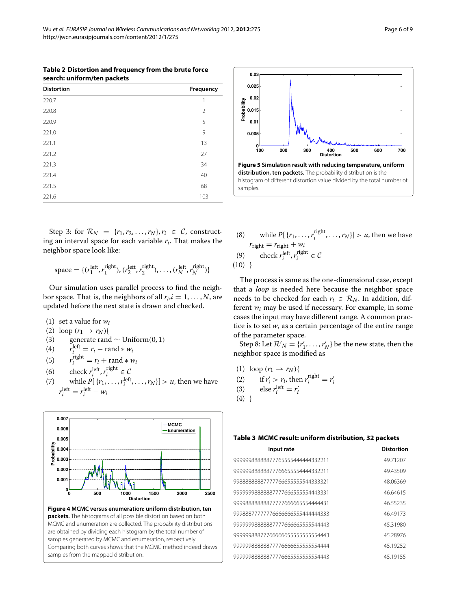<span id="page-5-0"></span>**Table 2 Distortion and frequency from the brute force search: uniform/ten packets**

| <b>Distortion</b> | Frequency |
|-------------------|-----------|
| 220.7             | 1         |
| 220.8             | 2         |
| 220.9             | 5         |
| 221.0             | 9         |
| 221.1             | 13        |
| 221.2             | 27        |
| 221.3             | 34        |
| 221.4             | 40        |
| 221.5             | 68        |
| 221.6             | 103       |

Step 3: for  $\mathcal{R}_N = \{r_1, r_2, \ldots, r_N\}$ ,  $r_i \in \mathcal{C}$ , constructing an interval space for each variable *ri*. That makes the neighbor space look like:

$$
\text{space} = \{ (r_1^{\text{left}}, r_1^{\text{right}}), (r_2^{\text{left}}, r_2^{\text{right}}), \ldots, (r_N^{\text{left}}, r_N^{\text{right}}) \}
$$

Our simulation uses parallel process to find the neighbor space. That is, the neighbors of all  $r_i$ ,  $i = 1, \ldots, N$ , are updated before the next state is drawn and checked.

(1) set a value for *wi*

- (2)  $\log(r_1 \rightarrow r_N)$  {<br>(3) generate rand
- (3) generate rand ∼ Uniform(0, 1)<br>
(4)  $r^{\text{left}} = r_i \text{rand} * w_i$

(4) 
$$
r_i^{\text{left}} = r_i - \text{rand} * w_i
$$

$$
(5) \qquad r_i^{\text{right}} = r_i + \text{rand} * w_i
$$

(6) check 
$$
r_i^{\text{left}}
$$
,  $r_i^{\text{right}} \in \mathcal{C}$ 

(7) while  $P[{r_1, ..., r_i}^{left}, ..., r_N]} > u$ , then we have  $r_i^{\text{left}} = r_i^{\text{left}} - w_i$ 

<span id="page-5-1"></span>



<span id="page-5-2"></span>(8) while  $P[\{r_1, \ldots, r_i^{\text{right}}, \ldots, r_N\}] > u$ , then we have  $r_{\text{right}} = r_{\text{right}} + w_i$ 

(9) check 
$$
r_i^{\text{left}}
$$
,  $r_i^{\text{right}} \in \mathcal{C}$ 

$$
(10) \}
$$

The process is same as the one-dimensional case, except that a *loop* is needed here because the neighbor space needs to be checked for each  $r_i \in \mathcal{R}_N$ . In addition, different *wi* may be used if necessary. For example, in some cases the input may have different range. A common practice is to set  $w_i$  as a certain percentage of the entire range of the parameter space.

Step 8: Let  $\mathcal{R'}_N = \{r'_1, \ldots, r'_N\}$  be the new state, then the neighbor space is modified as

$$
(1) \ \log(r_1 \to r_N)\{
$$

(2) if 
$$
r'_i > r_i
$$
, then  $r_i^{\text{right}} = r'_i$ 

$$
(3) \qquad \text{else } r_i^{\text{left}} = r_i'
$$

$$
(4) \quad \}
$$

<span id="page-5-3"></span>

| Table 3 MCMC result: uniform distribution, 32 packets |
|-------------------------------------------------------|
|-------------------------------------------------------|

| Input rate                       | <b>Distortion</b> |
|----------------------------------|-------------------|
| 99999988888877765555444444332211 | 4971207           |
| 99999988888877766655554444332211 | 4943509           |
| 99888888887777766655555544333321 | 48.06369          |
| 99999998888887777666555554443331 | 4664615           |
| 99998888888877777666665554444431 | 46.55235          |
| 99988877777776666666555444444333 | 4649173           |
| 9999999888887777666665555544443  | 4531980           |
| 99999988877766666655555555554443 | 45 28976          |
| 9999998888877776666655555554444  | 45 19252          |
| 99999988888877776665555555554443 | 45.19155          |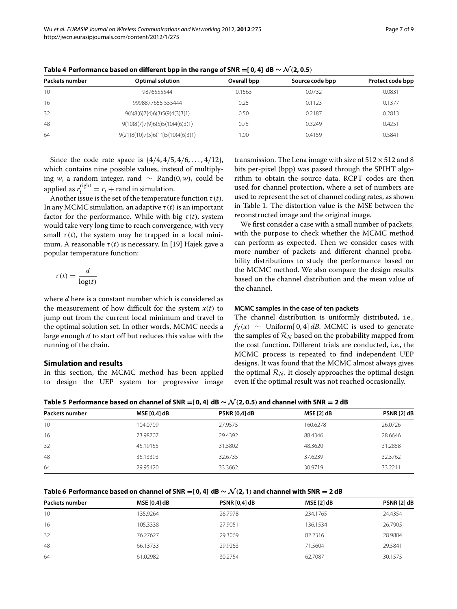<span id="page-6-0"></span>

| Packets number | <b>Optimal solution</b>          | Overall bpp | Source code bpp | Protect code bpp |
|----------------|----------------------------------|-------------|-----------------|------------------|
| 10             | 9876555544                       | 0.1563      | 0.0732          | 0.0831           |
| 16             | 9998877655 555444                | 0.25        | 0.1123          | 0.1377           |
| 32             | 9(6)8(6)7(4)6(3)5(9)4(3)3(1)     | 0.50        | 0.2187          | 0.2813           |
| 48             | 9(10)8(7)7(9)6(5)5(10)4(6)3(1)   | 0.75        | 0.3249          | 0.4251           |
| 64             | 9(21)8(10)7(5)6(11)5(10)4(6)3(1) | 1.00        | 0.4159          | 0.5841           |

**Table 4 Performance based on different bpp in the range of SNR =[ 0, 4] dB ∼** *N(***2, 0.5***)*

Since the code rate space is {4*/*4, 4*/*5, 4*/*6, *...* , 4*/*12}, which contains nine possible values, instead of multiplying *w*, a random integer, rand ∼ Rand*(*0,*w)*, could be applied as  $r_i^{\text{right}} = r_i + \text{rand in simulation.}$ 

Another issue is the set of the temperature function  $\tau(t)$ . In any MCMC simulation, an adaptive  $\tau(t)$  is an important factor for the performance. While with big  $\tau(t)$ , system would take very long time to reach convergence, with very small  $\tau(t)$ , the system may be trapped in a local minimum. A reasonable *τ (t)* is necessary. In [\[19\]](#page-8-18) Hajek gave a popular temperature function:

$$
\tau(t) = \frac{d}{\log(t)}
$$

where *d* here is a constant number which is considered as the measurement of how difficult for the system  $x(t)$  to jump out from the current local minimum and travel to the optimal solution set. In other words, MCMC needs a large enough *d* to start off but reduces this value with the running of the chain.

#### **Simulation and results**

In this section, the MCMC method has been applied to design the UEP system for progressive image transmission. The Lena image with size of  $512 \times 512$  and 8 bits per-pixel (bpp) was passed through the SPIHT algorithm to obtain the source data. RCPT codes are then used for channel protection, where a set of numbers are used to represent the set of channel coding rates, as shown in Table [1.](#page-4-1) The distortion value is the MSE between the reconstructed image and the original image.

We first consider a case with a small number of packets, with the purpose to check whether the MCMC method can perform as expected. Then we consider cases with more number of packets and different channel probability distributions to study the performance based on the MCMC method. We also compare the design results based on the channel distribution and the mean value of the channel.

#### **MCMC samples in the case of ten packets**

The channel distribution is uniformly distributed, i.e.,  $f_X(x) \sim$  Uniform[0,4] *dB*. MCMC is used to generate the samples of  $\mathcal{R}_N$  based on the probability mapped from the cost function. Different trials are conducted, i.e., the MCMC process is repeated to find independent UEP designs. It was found that the MCMC almost always gives the optimal  $\mathcal{R}_N$ . It closely approaches the optimal design even if the optimal result was not reached occasionally.

**Table 5 Performance based on channel of SNR =[ 0, 4] dB ∼** *N(***2, 0.5***)* **and channel with SNR = 2 dB**

<span id="page-6-1"></span>

| Packets number | <b>MSE</b> [0,4] dB | <b>PSNR [0,4] dB</b> | <b>MSE [2] dB</b> | PSNR [2] dB |
|----------------|---------------------|----------------------|-------------------|-------------|
| 10             | 104.0709            | 27.9575              | 160.6278          | 26.0726     |
| 16             | 73.98707            | 29.4392              | 88.4346           | 28.6646     |
| 32             | 45.19155            | 31.5802              | 48.3620           | 31.2858     |
| 48             | 35.13393            | 32.6735              | 37.6239           | 32.3762     |
| 64             | 29.95420            | 33.3662              | 30.9719           | 33.2211     |

| Table 6 Performance based on channel of SNR $=[$ 0, 4] dB $\sim$ $\mathcal{N}(2,1)$ and channel with SNR $=$ 2 dB |  |
|-------------------------------------------------------------------------------------------------------------------|--|
|                                                                                                                   |  |

<span id="page-6-2"></span>

| Packets number | <b>MSE</b> [0,4] dB | <b>PSNR [0,4] dB</b> | MSE [2] dB | PSNR [2] dB |
|----------------|---------------------|----------------------|------------|-------------|
| 10             | 135.9264            | 26.7978              | 234.1765   | 24.4354     |
| 16             | 105.3338            | 27.9051              | 136.1534   | 26.7905     |
| 32             | 76.27627            | 29.3069              | 82.2316    | 28.9804     |
| 48             | 66.13733            | 29.9263              | 71.5604    | 29.5841     |
| 64             | 61.02982            | 30.2754              | 62.7087    | 30.1575     |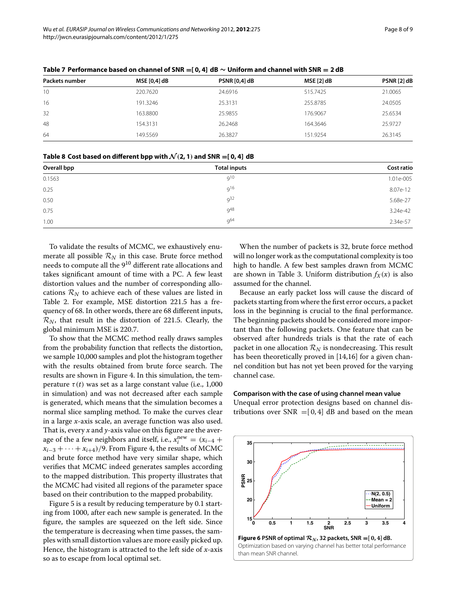| <b>Packets number</b> | <b>MSE</b> [0,4] dB | <b>PSNR [0,4] dB</b> | <b>MSE [2] dB</b> | PSNR [2] dB |
|-----------------------|---------------------|----------------------|-------------------|-------------|
| 10                    | 220.7620            | 24.6916              | 515.7425          | 21.0065     |
| 16                    | 191.3246            | 25.3131              | 255.8785          | 24.0505     |
| 32                    | 163.8800            | 25.9855              | 176.9067          | 25.6534     |
| 48                    | 154.3131            | 26.2468              | 164.3646          | 25.9727     |
| 64                    | 149.5569            | 26.3827              | 151.9254          | 26.3145     |

<span id="page-7-0"></span>**Table 7 Performance based on channel of SNR =[ 0, 4] dB ∼ Uniform and channel with SNR = 2 dB**

<span id="page-7-1"></span>**Table 8 Cost based on different bpp with**  $\mathcal{N}(2, 1)$  and SNR =  $[0, 4]$  dB

| Overall bpp | <b>Total inputs</b> | Cost ratio |
|-------------|---------------------|------------|
| 0.1563      | Q <sup>10</sup>     | 1.01e-005  |
| 0.25        | $q^{16}$            | 8.07e-12   |
| 0.50        | $9^{32}$            | 5.68e-27   |
| 0.75        | $9^{48}$            | 3.24e-42   |
| 1.00        | $Q^{64}$            | 2.34e-57   |

To validate the results of MCMC, we exhaustively enumerate all possible  $\mathcal{R}_N$  in this case. Brute force method needs to compute all the 9<sup>10</sup> different rate allocations and takes significant amount of time with a PC. A few least distortion values and the number of corresponding allocations  $\mathcal{R}_N$  to achieve each of these values are listed in Table [2.](#page-5-0) For example, MSE distortion 221.5 has a frequency of 68. In other words, there are 68 different inputs,  $\mathcal{R}_N$ , that result in the distortion of 221.5. Clearly, the global minimum MSE is 220.7.

To show that the MCMC method really draws samples from the probability function that reflects the distortion, we sample 10,000 samples and plot the histogram together with the results obtained from brute force search. The results are shown in Figure [4.](#page-5-1) In this simulation, the temperature  $\tau(t)$  was set as a large constant value (i.e., 1,000 in simulation) and was not decreased after each sample is generated, which means that the simulation becomes a normal slice sampling method. To make the curves clear in a large *x*-axis scale, an average function was also used. That is, every  $x$  and  $y$ -axis value on this figure are the average of the a few neighbors and itself, i.e.,  $x_i^{\text{new}} = (x_{i-4} +$  $x_{i-3} + \cdots + x_{i+4}$ /9. From Figure [4,](#page-5-1) the results of MCMC and brute force method have very similar shape, which verifies that MCMC indeed generates samples according to the mapped distribution. This property illustrates that the MCMC had visited all regions of the parameter space based on their contribution to the mapped probability.

Figure [5](#page-5-2) is a result by reducing temperature by 0.1 starting from 1000, after each new sample is generated. In the figure, the samples are squeezed on the left side. Since the temperature is decreasing when time passes, the samples with small distortion values are more easily picked up. Hence, the histogram is attracted to the left side of *x*-axis so as to escape from local optimal set.

When the number of packets is 32, brute force method will no longer work as the computational complexity is too high to handle. A few best samples drawn from MCMC are shown in Table [3.](#page-5-3) Uniform distribution  $f_X(x)$  is also assumed for the channel.

Because an early packet loss will cause the discard of packets starting from where the first error occurs, a packet loss in the beginning is crucial to the final performance. The beginning packets should be considered more important than the following packets. One feature that can be observed after hundreds trials is that the rate of each packet in one allocation  $\mathcal{R}_N$  is nondecreasing. This result has been theoretically proved in [\[14](#page-8-13)[,16\]](#page-8-15) for a given channel condition but has not yet been proved for the varying channel case.

#### **Comparison with the case of using channel mean value**

Unequal error protection designs based on channel distributions over SNR =  $[0, 4]$  dB and based on the mean

<span id="page-7-2"></span>